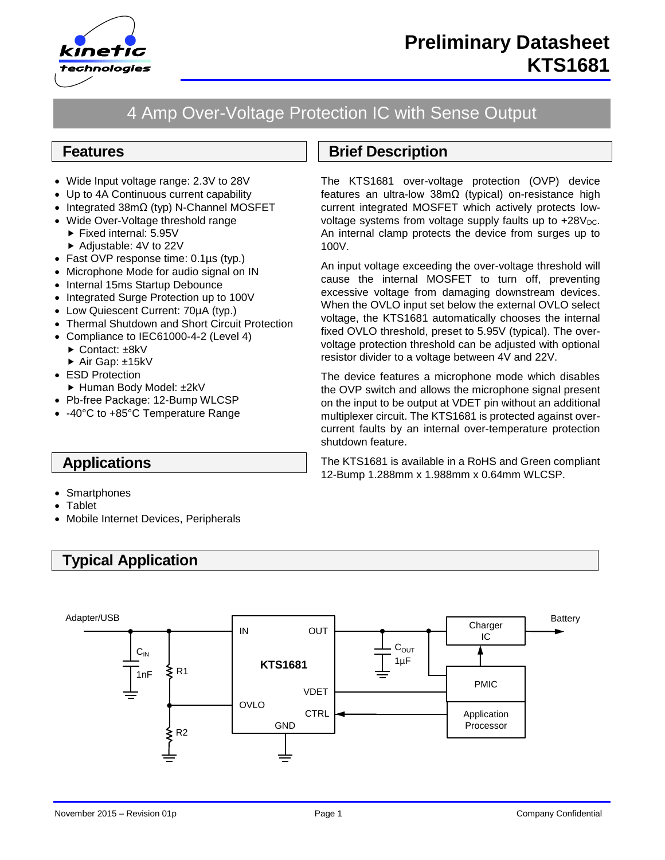

# 4 Amp Over-Voltage Protection IC with Sense Output

### **Features**

- Wide Input voltage range: 2.3V to 28V
- Up to 4A Continuous current capability
- Integrated 38mΩ (typ) N-Channel MOSFET
- Wide Over-Voltage threshold range
	- $\blacktriangleright$  Fixed internal: 5.95V
	- ▶ Adjustable: 4V to 22V
- Fast OVP response time: 0.1µs (typ.)
- Microphone Mode for audio signal on IN
- Internal 15ms Startup Debounce
- Integrated Surge Protection up to 100V
- Low Quiescent Current: 70µA (typ.)
- Thermal Shutdown and Short Circuit Protection
- Compliance to IEC61000-4-2 (Level 4)
	- ► Contact: ±8kV
	- ▶ Air Gap: ±15kV
- ESD Protection
- ► Human Body Model: ±2kV
- Pb-free Package: 12-Bump WLCSP
- -40°C to +85°C Temperature Range

### **Applications**

- Smartphones
- Tablet
- Mobile Internet Devices, Peripherals

# **Typical Application**

# **Brief Description**

The KTS1681 over-voltage protection (OVP) device features an ultra-low 38mΩ (typical) on-resistance high current integrated MOSFET which actively protects lowvoltage systems from voltage supply faults up to  $+28V<sub>DC</sub>$ . An internal clamp protects the device from surges up to 100V.

An input voltage exceeding the over-voltage threshold will cause the internal MOSFET to turn off, preventing excessive voltage from damaging downstream devices. When the OVLO input set below the external OVLO select voltage, the KTS1681 automatically chooses the internal fixed OVLO threshold, preset to 5.95V (typical). The overvoltage protection threshold can be adjusted with optional resistor divider to a voltage between 4V and 22V.

The device features a microphone mode which disables the OVP switch and allows the microphone signal present on the input to be output at VDET pin without an additional multiplexer circuit. The KTS1681 is protected against overcurrent faults by an internal over-temperature protection shutdown feature.

The KTS1681 is available in a RoHS and Green compliant 12-Bump 1.288mm x 1.988mm x 0.64mm WLCSP.

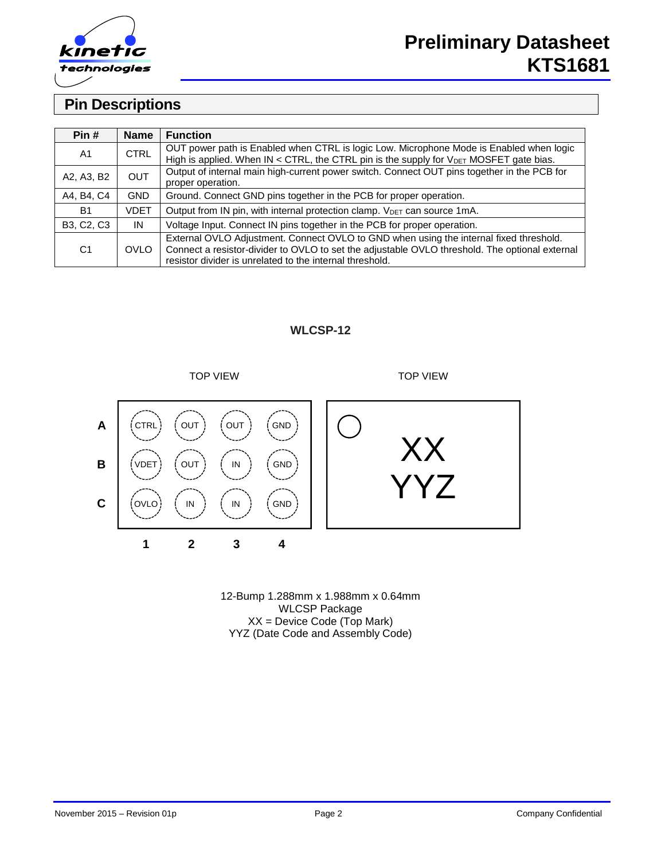

# **Pin Descriptions**

| Pin#           | <b>Name</b> | <b>Function</b>                                                                                    |
|----------------|-------------|----------------------------------------------------------------------------------------------------|
| A <sub>1</sub> | <b>CTRL</b> | OUT power path is Enabled when CTRL is logic Low. Microphone Mode is Enabled when logic            |
|                |             | High is applied. When IN < CTRL, the CTRL pin is the supply for $V_{\text{DET}}$ MOSFET gate bias. |
| <b>OUT</b>     |             | Output of internal main high-current power switch. Connect OUT pins together in the PCB for        |
| A2, A3, B2     |             | proper operation.                                                                                  |
| A4, B4, C4     | GND         | Ground. Connect GND pins together in the PCB for proper operation.                                 |
| B1             | VDET        | Output from IN pin, with internal protection clamp. V <sub>DET</sub> can source 1mA.               |
| B3, C2, C3     | IN          | Voltage Input. Connect IN pins together in the PCB for proper operation.                           |
|                |             | External OVLO Adjustment. Connect OVLO to GND when using the internal fixed threshold.             |
| C <sub>1</sub> | <b>OVLO</b> | Connect a resistor-divider to OVLO to set the adjustable OVLO threshold. The optional external     |
|                |             | resistor divider is unrelated to the internal threshold.                                           |

#### **WLCSP-12**



12-Bump 1.288mm x 1.988mm x 0.64mm WLCSP Package XX = Device Code (Top Mark) YYZ (Date Code and Assembly Code)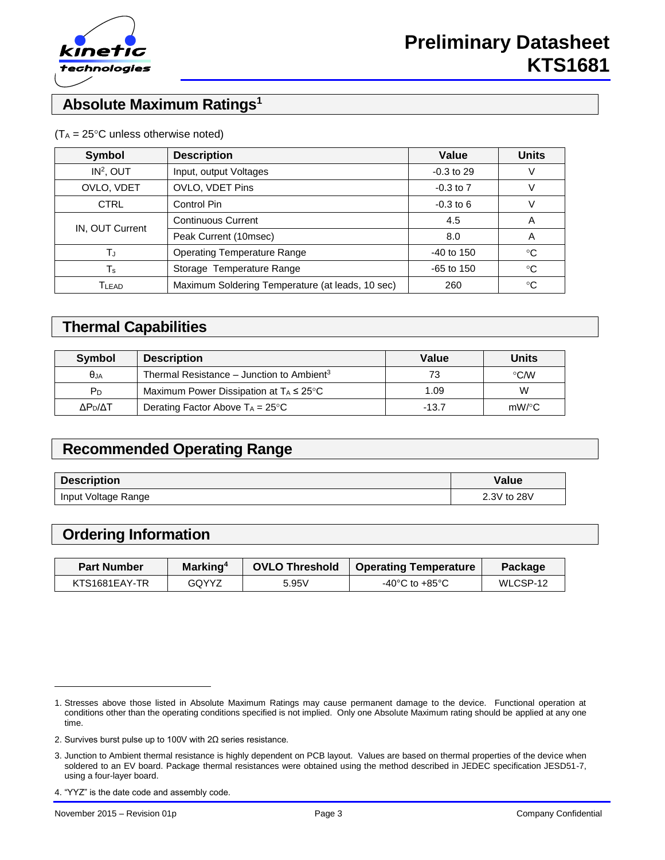

# **Absolute Maximum Ratings<sup>1</sup>**

| $(T_A = 25^{\circ}C$ unless otherwise noted) |  |  |  |
|----------------------------------------------|--|--|--|
|----------------------------------------------|--|--|--|

| <b>Description</b><br><b>Symbol</b> |                                                  | Value         | <b>Units</b> |
|-------------------------------------|--------------------------------------------------|---------------|--------------|
| $IN2$ , OUT                         | Input, output Voltages                           | $-0.3$ to 29  |              |
| OVLO, VDET                          | OVLO, VDET Pins                                  | $-0.3$ to $7$ |              |
| <b>CTRL</b>                         | Control Pin                                      | $-0.3$ to 6   |              |
| IN, OUT Current                     | <b>Continuous Current</b>                        | 4.5           | A            |
|                                     | Peak Current (10msec)                            | 8.0           | A            |
| T.                                  | <b>Operating Temperature Range</b>               | $-40$ to 150  | $^{\circ}C$  |
| $\mathsf T_\mathsf s$               | Storage Temperature Range                        | $-65$ to 150  | $^{\circ}C$  |
| Tlead                               | Maximum Soldering Temperature (at leads, 10 sec) | 260           | °C           |

### **Thermal Capabilities**

| <b>Symbol</b>       | <b>Description</b>                                    | Value   | <b>Units</b>       |
|---------------------|-------------------------------------------------------|---------|--------------------|
| $\theta$ JA         | Thermal Resistance – Junction to Ambient <sup>3</sup> | 73      | $\degree$ C/W      |
| PD                  | Maximum Power Dissipation at $T_A \leq 25^{\circ}C$   | 1.09    | W                  |
| ΔΡ <sub>η</sub> /ΔΤ | Derating Factor Above $T_A = 25^{\circ}C$             | $-13.7$ | $mW$ / $\degree$ C |

# **Recommended Operating Range**

| <b>Description</b>  | Value       |
|---------------------|-------------|
| Input Voltage Range | 2.3V to 28V |

# **Ordering Information**

| <b>Part Number</b> | Marking <sup>4</sup> | <b>OVLO Threshold</b> | Operating Temperature | <b>Package</b> |
|--------------------|----------------------|-----------------------|-----------------------|----------------|
| KTS1681EAY-TR      | GOYYZ                | 5.95V                 | -40°C to +85°C        | WLCSP-12       |

4. "YYZ" is the date code and assembly code.

l

<sup>1.</sup> Stresses above those listed in Absolute Maximum Ratings may cause permanent damage to the device. Functional operation at conditions other than the operating conditions specified is not implied. Only one Absolute Maximum rating should be applied at any one time.

<sup>2.</sup> Survives burst pulse up to 100V with 2Ω series resistance.

<sup>3.</sup> Junction to Ambient thermal resistance is highly dependent on PCB layout. Values are based on thermal properties of the device when soldered to an EV board. Package thermal resistances were obtained using the method described in JEDEC specification JESD51-7, using a four-layer board.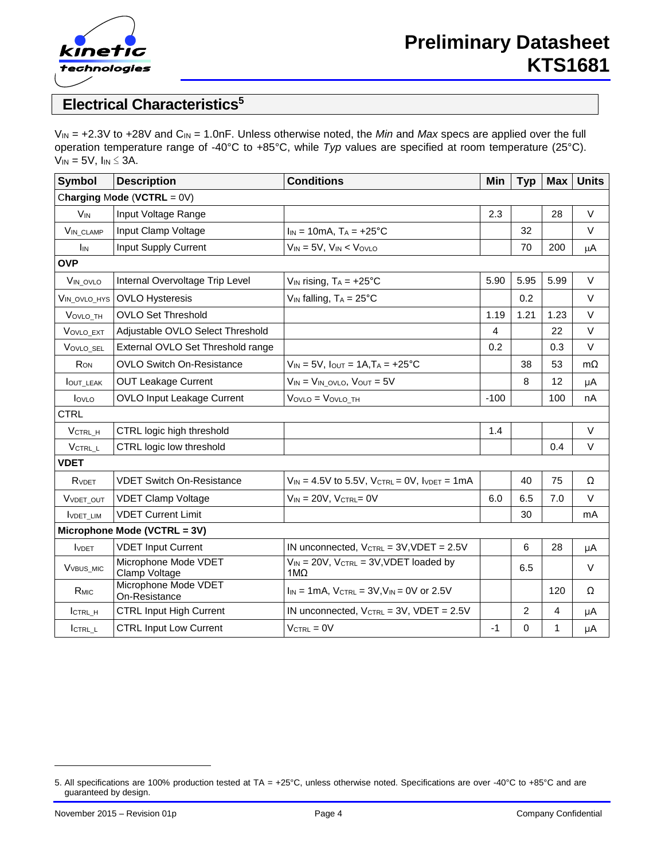

# **Electrical Characteristics<sup>5</sup>**

V<sub>IN</sub> = +2.3V to +28V and C<sub>IN</sub> = 1.0nF. Unless otherwise noted, the *Min* and *Max* specs are applied over the full operation temperature range of -40°C to +85°C, while *Typ* values are specified at room temperature (25°C).  $V_{IN} = 5V$ ,  $I_{IN} \leq 3A$ .

| Symbol                        | <b>Description</b>                    | <b>Conditions</b>                                             | Min    | <b>Typ</b>     | <b>Max</b>     | <b>Units</b> |  |
|-------------------------------|---------------------------------------|---------------------------------------------------------------|--------|----------------|----------------|--------------|--|
| Charging Mode (VCTRL = $0V$ ) |                                       |                                                               |        |                |                |              |  |
| <b>V<sub>IN</sub></b>         | Input Voltage Range                   |                                                               | 2.3    |                | 28             | $\vee$       |  |
| VIN CLAMP                     | Input Clamp Voltage                   | $I_{IN} = 10mA$ , $T_A = +25°C$                               |        | 32             |                | $\vee$       |  |
| I <sub>IN</sub>               | <b>Input Supply Current</b>           | $V_{IN} = 5V$ , $V_{IN} < V_{OVLO}$                           |        | 70             | 200            | μA           |  |
| <b>OVP</b>                    |                                       |                                                               |        |                |                |              |  |
| VIN_OVLO                      | Internal Overvoltage Trip Level       | $V_{IN}$ rising, $T_A = +25$ °C                               | 5.90   | 5.95           | 5.99           | $\vee$       |  |
| VIN_OVLO_HYS                  | <b>OVLO Hysteresis</b>                | $V_{IN}$ falling, $T_A = 25^{\circ}C$                         |        | 0.2            |                | V            |  |
| VOVLO TH                      | <b>OVLO Set Threshold</b>             |                                                               | 1.19   | 1.21           | 1.23           | $\vee$       |  |
| VOVLO_EXT                     | Adjustable OVLO Select Threshold      |                                                               | 4      |                | 22             | $\vee$       |  |
| VOVLO SEL                     | External OVLO Set Threshold range     |                                                               | 0.2    |                | 0.3            | V            |  |
| <b>Ron</b>                    | <b>OVLO Switch On-Resistance</b>      | $V_{IN} = 5V$ , $I_{OUT} = 1A$ , $T_A = +25$ °C               |        | 38             | 53             | $m\Omega$    |  |
| <b>JOUT LEAK</b>              | <b>OUT Leakage Current</b>            | $V_{IN} = V_{IN}$ ovlo, $V_{OUT} = 5V$                        |        | 8              | 12             | μA           |  |
| lovLo                         | OVLO Input Leakage Current            | VOVLO = VOVLO TH                                              | $-100$ |                | 100            | nA           |  |
| <b>CTRL</b>                   |                                       |                                                               |        |                |                |              |  |
| VCTRL_H                       | CTRL logic high threshold             |                                                               | 1.4    |                |                | $\vee$       |  |
| VCTRL L                       | CTRL logic low threshold              |                                                               |        |                | 0.4            | $\vee$       |  |
| <b>VDET</b>                   |                                       |                                                               |        |                |                |              |  |
| RVDET                         | <b>VDET Switch On-Resistance</b>      | $V_{IN} = 4.5V$ to 5.5V, $V_{CTRL} = 0V$ , $V_{DET} = 1mA$    |        | 40             | 75             | Ω            |  |
| VVDET OUT                     | <b>VDET Clamp Voltage</b>             | $V_{IN} = 20V$ , $V_{CTRL} = 0V$                              | 6.0    | 6.5            | 7.0            | $\vee$       |  |
| <b>IVDET LIM</b>              | <b>VDET Current Limit</b>             |                                                               |        | 30             |                | mA           |  |
|                               | Microphone Mode (VCTRL = 3V)          |                                                               |        |                |                |              |  |
| <b>IVDET</b>                  | <b>VDET Input Current</b>             | IN unconnected, VCTRL = 3V, VDET = 2.5V                       |        | 6              | 28             | μA           |  |
| V <sub>VBUS_MIC</sub>         | Microphone Mode VDET<br>Clamp Voltage | $V_{IN}$ = 20V, $V_{CTRL}$ = 3V, VDET loaded by<br>$1M\Omega$ |        | 6.5            |                | $\vee$       |  |
| R <sub>MIC</sub>              | Microphone Mode VDET<br>On-Resistance | $I_{IN} = 1mA$ , $V_{CTRL} = 3V$ , $V_{IN} = 0V$ or 2.5V      |        |                | 120            | Ω            |  |
| ICTRL H                       | <b>CTRL Input High Current</b>        | IN unconnected, $V_{\text{CTRL}} = 3V$ , $V\text{DET} = 2.5V$ |        | $\overline{2}$ | $\overline{4}$ | μA           |  |
| ICTRL L                       | <b>CTRL Input Low Current</b>         | $V_{\text{CTRL}} = 0V$                                        | $-1$   | 0              | 1              | μA           |  |

l

<sup>5.</sup> All specifications are 100% production tested at TA = +25°C, unless otherwise noted. Specifications are over -40°C to +85°C and are guaranteed by design.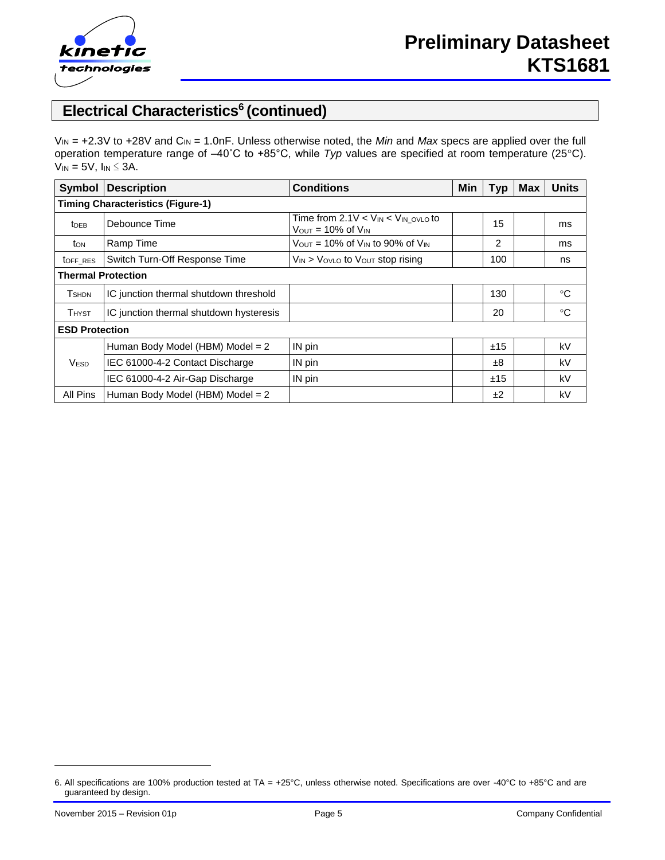

# **Electrical Characteristics<sup>6</sup> (continued)**

V<sub>IN</sub> = +2.3V to +28V and C<sub>IN</sub> = 1.0nF. Unless otherwise noted, the *Min* and *Max* specs are applied over the full operation temperature range of –40˚C to +85°C, while *Typ* values are specified at room temperature (25C).  $V_{IN} = 5V$ ,  $I_{IN} \leq 3A$ .

| Symbol                                   | <b>Description</b>                      | <b>Conditions</b>                                                                        | Min | <b>Typ</b> | <b>Max</b> | <b>Units</b> |  |
|------------------------------------------|-----------------------------------------|------------------------------------------------------------------------------------------|-----|------------|------------|--------------|--|
| <b>Timing Characteristics (Figure-1)</b> |                                         |                                                                                          |     |            |            |              |  |
| $t_{DEB}$                                | Debounce Time                           | Time from $2.1V < V_{IN} < V_{IN}$ ovlo to<br>$V_{\text{OUT}} = 10\%$ of $V_{\text{IN}}$ |     | 15         |            | ms           |  |
| ton                                      | Ramp Time                               | $V_{\text{OUT}}$ = 10% of $V_{\text{IN}}$ to 90% of $V_{\text{IN}}$                      |     | 2          |            | ms           |  |
| toff RES                                 | Switch Turn-Off Response Time           | $V_{IN}$ > $V_{OVLO}$ to $V_{OUT}$ stop rising                                           |     | 100        |            | ns           |  |
| <b>Thermal Protection</b>                |                                         |                                                                                          |     |            |            |              |  |
| <b>T</b> <sub>SHDN</sub>                 | IC junction thermal shutdown threshold  |                                                                                          |     | 130        |            | $^{\circ}C$  |  |
| <b>THYST</b>                             | IC junction thermal shutdown hysteresis |                                                                                          |     | 20         |            | $^{\circ}C$  |  |
| <b>ESD Protection</b>                    |                                         |                                                                                          |     |            |            |              |  |
|                                          | Human Body Model (HBM) Model = $2$      | IN pin                                                                                   |     | ±15        |            | kV           |  |
| <b>VESD</b>                              | IEC 61000-4-2 Contact Discharge         | IN pin                                                                                   |     | $\pm 8$    |            | kV           |  |
|                                          | IEC 61000-4-2 Air-Gap Discharge         | IN pin                                                                                   |     | ±15        |            | kV           |  |
| All Pins                                 | Human Body Model (HBM) Model = $2$      |                                                                                          |     | ±2         |            | kV           |  |

l

<sup>6.</sup> All specifications are 100% production tested at TA = +25°C, unless otherwise noted. Specifications are over -40°C to +85°C and are guaranteed by design.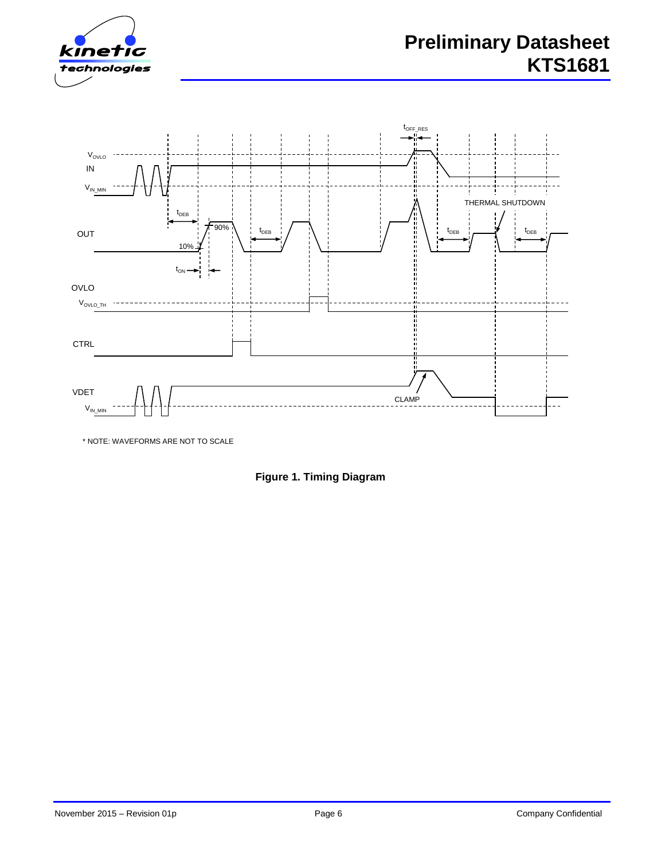



\* NOTE: WAVEFORMS ARE NOT TO SCALE

**Figure 1. Timing Diagram**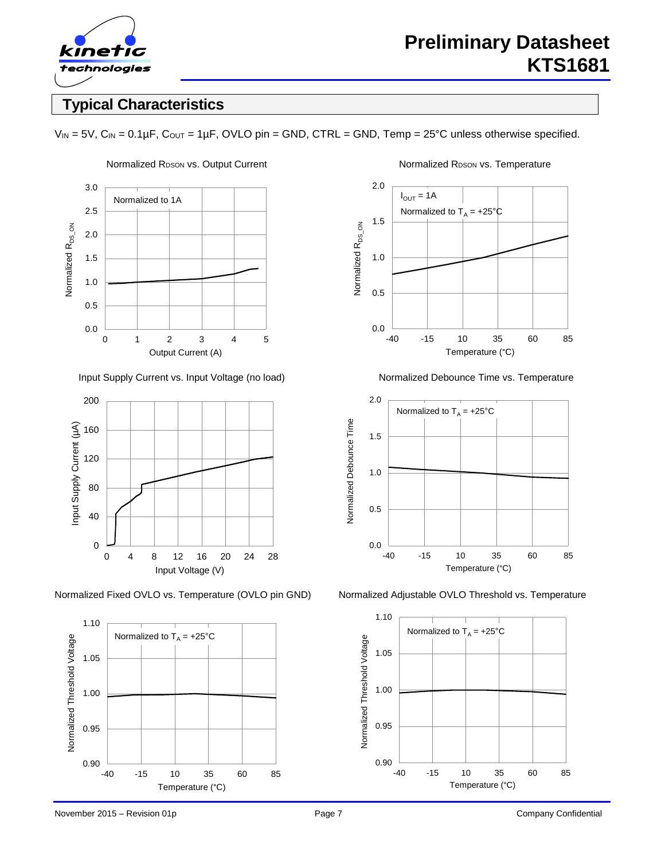

# **Typical Characteristics**





Normalized Fixed OVLO vs. Temperature (OVLO pin GND) Normalized Adjustable OVLO Threshold vs. Temperature









 $V_{IN} = 5V$ ,  $C_{IN} = 0.1 \mu F$ ,  $C_{OUT} = 1 \mu F$ , OVLO pin = GND, CTRL = GND, Temp = 25°C unless otherwise specified.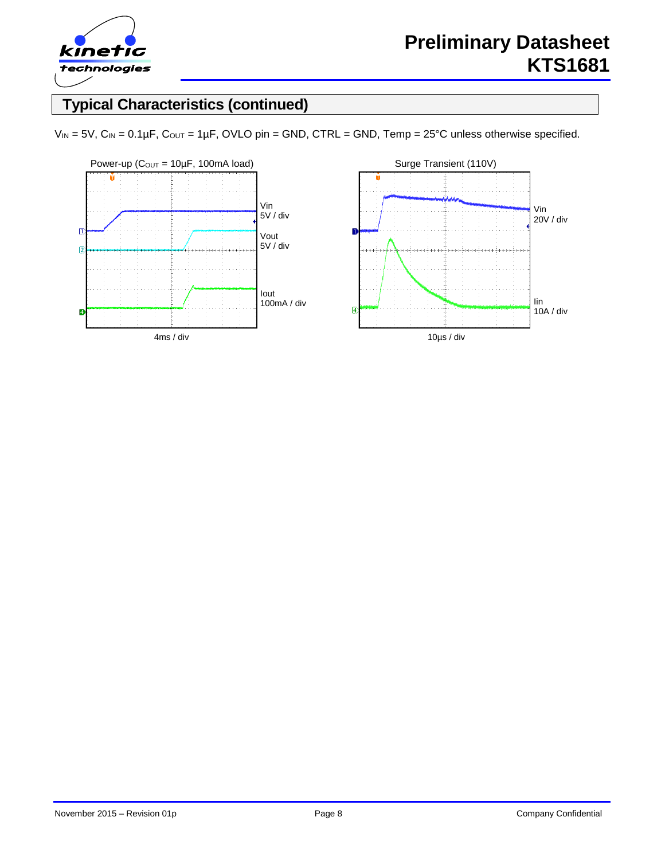

# **Typical Characteristics (continued)**



 $V_{IN} = 5V$ ,  $C_{IN} = 0.1 \mu F$ ,  $C_{OUT} = 1 \mu F$ , OVLO pin = GND, CTRL = GND, Temp = 25°C unless otherwise specified.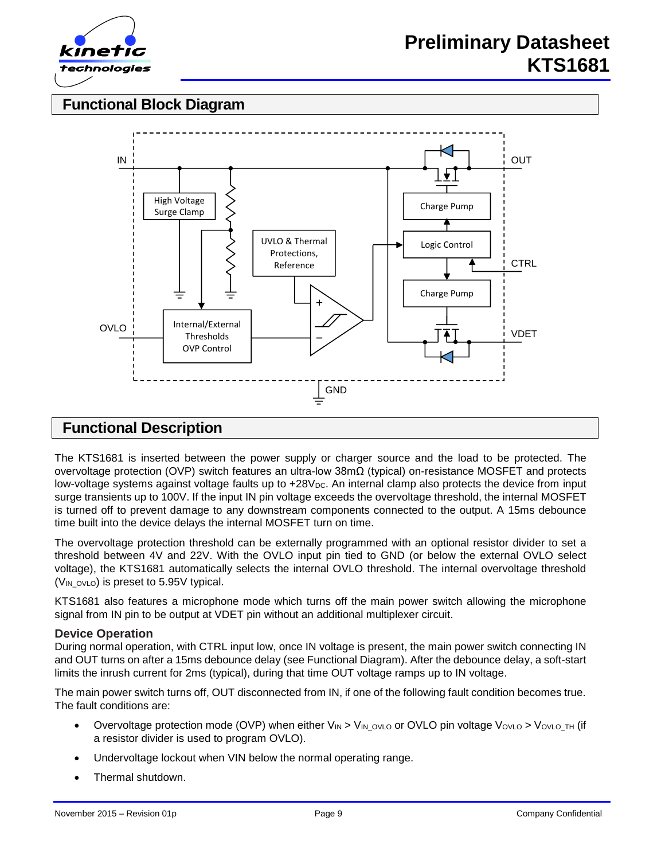

# **Functional Block Diagram**



### **Functional Description**

The KTS1681 is inserted between the power supply or charger source and the load to be protected. The overvoltage protection (OVP) switch features an ultra-low 38mΩ (typical) on-resistance MOSFET and protects low-voltage systems against voltage faults up to +28V<sub>DC</sub>. An internal clamp also protects the device from input surge transients up to 100V. If the input IN pin voltage exceeds the overvoltage threshold, the internal MOSFET is turned off to prevent damage to any downstream components connected to the output. A 15ms debounce time built into the device delays the internal MOSFET turn on time.

The overvoltage protection threshold can be externally programmed with an optional resistor divider to set a threshold between 4V and 22V. With the OVLO input pin tied to GND (or below the external OVLO select voltage), the KTS1681 automatically selects the internal OVLO threshold. The internal overvoltage threshold ( $V_{IN}$  ovlo) is preset to 5.95V typical.

KTS1681 also features a microphone mode which turns off the main power switch allowing the microphone signal from IN pin to be output at VDET pin without an additional multiplexer circuit.

#### **Device Operation**

During normal operation, with CTRL input low, once IN voltage is present, the main power switch connecting IN and OUT turns on after a 15ms debounce delay (see Functional Diagram). After the debounce delay, a soft-start limits the inrush current for 2ms (typical), during that time OUT voltage ramps up to IN voltage.

The main power switch turns off, OUT disconnected from IN, if one of the following fault condition becomes true. The fault conditions are:

- Overvoltage protection mode (OVP) when either VIN > VIN\_OVLO or OVLO pin voltage VovLo > VovLo\_TH (if a resistor divider is used to program OVLO).
- Undervoltage lockout when VIN below the normal operating range.
- Thermal shutdown.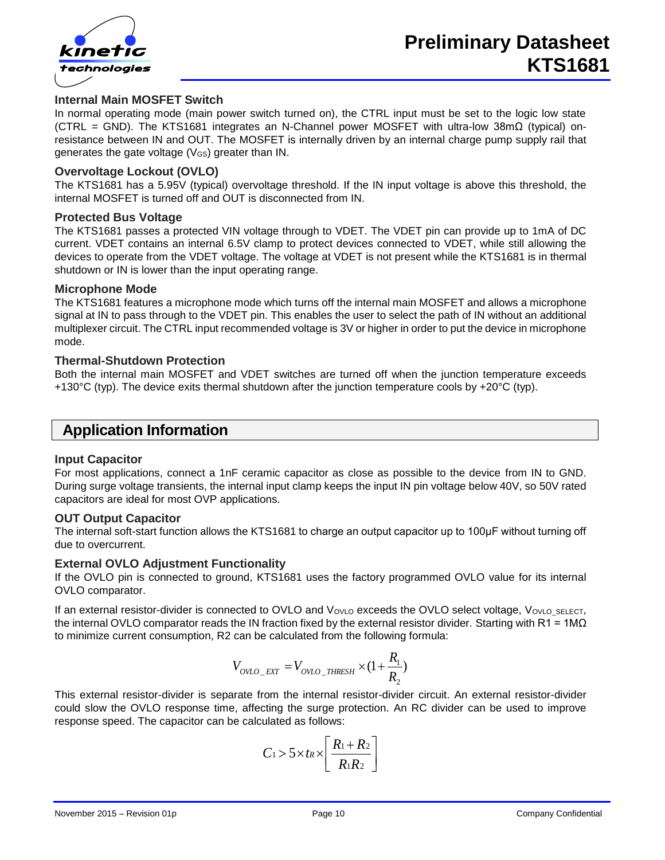

#### **Internal Main MOSFET Switch**

In normal operating mode (main power switch turned on), the CTRL input must be set to the logic low state (CTRL = GND). The KTS1681 integrates an N-Channel power MOSFET with ultra-low 38mΩ (typical) onresistance between IN and OUT. The MOSFET is internally driven by an internal charge pump supply rail that generates the gate voltage (VGS) greater than IN.

#### **Overvoltage Lockout (OVLO)**

The KTS1681 has a 5.95V (typical) overvoltage threshold. If the IN input voltage is above this threshold, the internal MOSFET is turned off and OUT is disconnected from IN.

#### **Protected Bus Voltage**

The KTS1681 passes a protected VIN voltage through to VDET. The VDET pin can provide up to 1mA of DC current. VDET contains an internal 6.5V clamp to protect devices connected to VDET, while still allowing the devices to operate from the VDET voltage. The voltage at VDET is not present while the KTS1681 is in thermal shutdown or IN is lower than the input operating range.

#### **Microphone Mode**

The KTS1681 features a microphone mode which turns off the internal main MOSFET and allows a microphone signal at IN to pass through to the VDET pin. This enables the user to select the path of IN without an additional multiplexer circuit. The CTRL input recommended voltage is 3V or higher in order to put the device in microphone mode.

#### **Thermal-Shutdown Protection**

Both the internal main MOSFET and VDET switches are turned off when the junction temperature exceeds +130 $^{\circ}$ C (typ). The device exits thermal shutdown after the junction temperature cools by +20 $^{\circ}$ C (typ).

### **Application Information**

#### **Input Capacitor**

For most applications, connect a 1nF ceramic capacitor as close as possible to the device from IN to GND. During surge voltage transients, the internal input clamp keeps the input IN pin voltage below 40V, so 50V rated capacitors are ideal for most OVP applications.

#### **OUT Output Capacitor**

The internal soft-start function allows the KTS1681 to charge an output capacitor up to 100μF without turning off due to overcurrent.

#### **External OVLO Adjustment Functionality**

If the OVLO pin is connected to ground, KTS1681 uses the factory programmed OVLO value for its internal OVLO comparator.

If an external resistor-divider is connected to OVLO and VovLo exceeds the OVLO select voltage, VovLo\_SELECT, the internal OVLO comparator reads the IN fraction fixed by the external resistor divider. Starting with R1 = 1M $\Omega$ to minimize current consumption, R2 can be calculated from the following formula:

$$
V_{OVLO\_EXT} = V_{OVLO\_THRESH} \times (1 + \frac{R_1}{R_2})
$$

This external resistor-divider is separate from the internal resistor-divider circuit. An external resistor-divider could slow the OVLO response time, affecting the surge protection. An RC divider can be used to improve response speed. The capacitor can be calculated as follows:

$$
C_1 > 5 \times t_R \times \left[ \frac{R_1 + R_2}{R_1 R_2} \right]
$$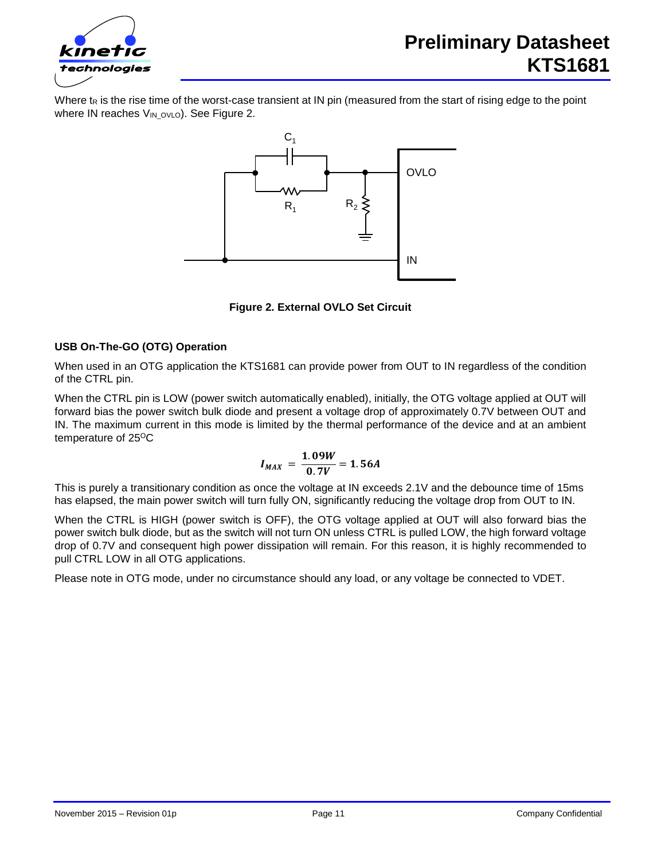

Where t<sub>R</sub> is the rise time of the worst-case transient at IN pin (measured from the start of rising edge to the point where IN reaches V<sub>IN\_OVLO</sub>). See Figure 2.



**Figure 2. External OVLO Set Circuit**

#### **USB On-The-GO (OTG) Operation**

When used in an OTG application the KTS1681 can provide power from OUT to IN regardless of the condition of the CTRL pin.

When the CTRL pin is LOW (power switch automatically enabled), initially, the OTG voltage applied at OUT will forward bias the power switch bulk diode and present a voltage drop of approximately 0.7V between OUT and IN. The maximum current in this mode is limited by the thermal performance of the device and at an ambient temperature of  $25^{\circ}$ C

$$
I_{MAX} = \frac{1.09W}{0.7V} = 1.56A
$$

This is purely a transitionary condition as once the voltage at IN exceeds 2.1V and the debounce time of 15ms has elapsed, the main power switch will turn fully ON, significantly reducing the voltage drop from OUT to IN.

When the CTRL is HIGH (power switch is OFF), the OTG voltage applied at OUT will also forward bias the power switch bulk diode, but as the switch will not turn ON unless CTRL is pulled LOW, the high forward voltage drop of 0.7V and consequent high power dissipation will remain. For this reason, it is highly recommended to pull CTRL LOW in all OTG applications.

Please note in OTG mode, under no circumstance should any load, or any voltage be connected to VDET.